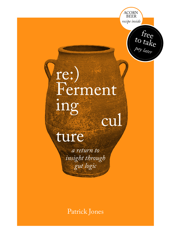

# re:) Ferment ing cul

# ture

*a return to insight through gut logic*

Patrick Jones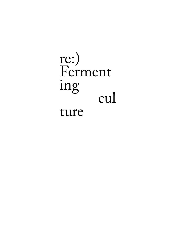# re:)<br>Ferment ing cul ture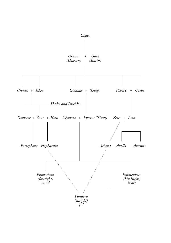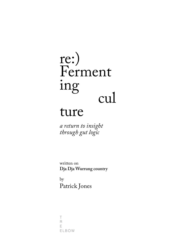

a return to insight<br>through gut logic

written on Dja Dja Wurrung country

by Patrick Jones

 $\top$  $\overline{\mathsf{R}}$ E ELBOW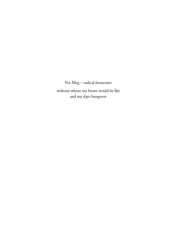For Meg – radical fermentor

without whom my brews would be flat and my days hungover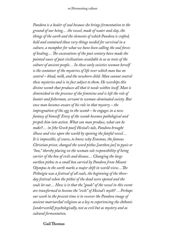*Pandora is a healer of soul because she brings fermentation to the ground of our being… the vessel, made of water and clay, the things of the earth and the elements of which Pandora is crafted, held and contained those very things needed for survival in a culture, a metaphor for what we have been calling the soul forces of healing… The excavations of the past century have made the painted vases of past civilisations available to us as texts of the culture of ancient people… In these early societies woman herself is the container of the mysteries of life over which man has no control – blood, milk, and the newborn child. Man cannot control these mysteries and is in fact subject to them. He worships this divine womb that produces all that it needs within itself. Man is diminished in the presence of the feminine and is left the role of hunter and fisherman, servant to woman-dominated society. But once man becomes aware of his role in that mystery – the impregnation of the egg in the womb – he engages in a new fantasy of himself. Envy of the womb becomes pathological and propels him into action. What can man produce, what can he make?… in [the Greek poet] Hesiod's tale, Pandora brought illness and vice upon the world by opening the fateful vessel… It is impossible, of course, to know why Erasmus, the famous Christian priest, changed the word pithos [earthen jar] to pyxis or "box," thereby placing on the woman sole responsibility of being carrier of the box of evils and disease… Changing the large earthen pithos to a small box carried by Pandora from Mount Olympus to the earth marks a major shift in world view…The Pithoigia was a festival of all souls, the beginning of the threeday festival when the pithoi of the dead were opened and the souls let out… How is it that the "goods" of the vessel in this event are transformed to become the "evils" of Hesiod's myth? …Perhaps our work in the present time is to recover the Pandora image of ancient matriarchal religions as a key to experiencing the chthonic [underworld] psychologically, not as evil but as mystery and as cultural fermentation.*

#### **Gail Thomas**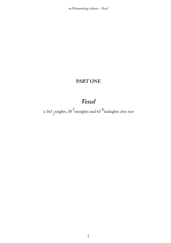# PART ONE

# Vessel

a 163 nsights, 38  $f$  or esights and 63  $h$  indsights *slow text*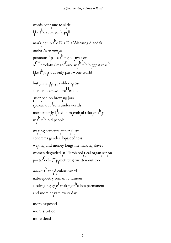words cont nue to sl de<br> $\frac{1}{h}$ l ke t<sup>h</sup>e surveyor's qu<sub>i</sub>ll mark<sub>i</sub>ng up t<sup>h</sup>e Dja Dja Wurrung djandak under *terra null* us<br><sup>1</sup> penmans<sup>h</sup>  $i<sup>p</sup>$  a t<sup>h</sup><sub>ing</sub> o<sup>f</sup> nvas.on<br><sup>1</sup><sub>1</sub><sup>1</sup><sub>h</sub> o<sup>f H</sup>erodotus' man/<sup>f</sup>orce w<sub>i</sub>t<sup>h</sup> t<sup>h</sup>e b<sub>i</sub>ggest reac<sup>h</sup> l ke t<sup>h</sup><sub>i</sub>s is our only past – one world but prewr, t, ng , s older v, rtue i s<sup>h</sup>aman<sub>i</sub>c drawn pre<sup>H</sup>es<sub>i</sub>od i i spoken out from underworlds nscr.bed on brew.ng jars momentar ly l<sub>1</sub> ted n m crob al relations<sup>h</sup><sub>1</sub>P w<sub>i</sub>t<sup>h</sup> t<sup>h</sup>e old people  $\frac{w}{1}$  i  $\frac{1}{1}$  cements mperial sm concretes gender-lops.dedness wr.t.ng and money longt.me mak.ng slaves women degraded 'n Plato's pol. t. cal organisat. on<br>
f poets/<sup>f</sup>ools (Ep<sub>1</sub>met<sup>h</sup>eus) wr<sub>i</sub>tten out too nature t<sup>h</sup>at r<sub>,</sub>d<sub>,</sub>culous word naturepoetry romant.c tumour a salvag<sub>i</sub>ng gr<sub>i</sub>e<sup>t</sup> mak<sub>i</sub>ng t<sup>h</sup>e loss permanent and more  $\prod_{1}^{n}$  vate every day more exposed more stud.ed<br>
<sup>1</sup> more dead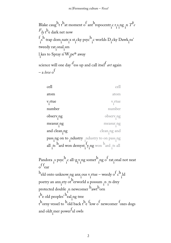Blake caught that moment of anthropocentr<sub>ic r<sub>1</sub>s, ng<sub>1</sub>n  $T^b e$ </sub>  $F_{l\psi}$  the dark net now  $f_s^{\text{th}}$  trap dom natr x st cky psych.c worlds D cky Dawk ns' tweedy rat.onal.sm 1. kes to Spray n'W.pe® away science will one day <sup>,f</sup>ess up and call itsel<sup>f</sup> art again  $-$  a love  $\sigma^f$ 

cell cell atom atom  $v$ <sub>i</sub>rtue v.rtue number number observ<sub>i</sub>ng observ<sub>ing</sub> measur<sub>ing</sub> measur<sub>:ng</sub> and clean<sub>ing</sub> clean<sub>ing</sub> and pass.ng on to  $\underset{1}{\text{ndustry}}$   $\underset{1}{\text{ndustry}}$  to on pass.ng all its hard won demyst, fying won hard its all

Pandora <sub>i</sub>s psyc<sup>h</sup><sub>i</sub>c all-g<sub>iving</sub> somet<sup>h</sup><sub>ing</sub> of rational not neat  $\int_{0}^{f}$ fear  $h$ eld onto unknow<sub>i</sub>ng anx<sub>i</sub>ous v<sub>i</sub>rtue – weedy o<sup>f</sup> c<sup>h</sup><sub>i</sub>ld poetry an anx ety otherworld a possum n its drey protected double in newcomer hawthorn the old peoples' healing tree  $t^h$  orny vessel to  $h$  old back  $t^h$  e  $f$  low of newcomer foxes dogs and oldt mer power ul owls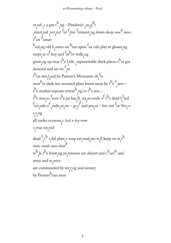mi nd i s a gut th i ng – Pandora's i nsi g ht i ntesti nal i nsti nct f or f i bre <sup>f</sup> ermenti ng down deep *muc<sup>h</sup> more t h an h uman* heali ng old bi omes on heat upon f ox cub play at gloami ng surpri se of boy and f ather walki ng growi ng up near the li ttle i mpenetrable duck places that got dozered and set on <sup>f</sup> i re t hen steri l i sed by Pasteur's Monsanto dri f ts another dark wet secreted place burnt away by the f i xers – t he market exposes everyth i ng to the sun – t he stori es f rom the jar baci lli stai ns souls o<sup>f</sup> <sup>t</sup>he dead li f ted f esti vals of i nebri ati on – gri e f and prai se – but not f or Stoi cs r i s i ng all under economi c *lock n key* now v i rtue reti red dead f i s h ti dal plasti c soup rati onali sm wi ll keep on wi t h *man-made mass deat<sup>h</sup>* wh i le the brewi ng pri estesses are absent and church and army and sci ence are commanded by wri t i ng and money by Promethean men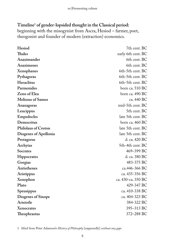# **Timeline1 of gender-lopsided thought in the Classical period:**

beginning with the misogynist from Ascra, Hesiod – farmer, poet, theogonist and founder of modern (extraction) economics.

| Hesiod                     | 7th cent. BC       |
|----------------------------|--------------------|
| Thales                     | early 6th cent. BC |
| Anaximander                | 6th cent. BC       |
| Anaximenes                 | 6th cent. BC       |
| Xenophanes                 | 6th-5th cent. BC   |
| Pythagoras                 | 6th-5th cent. BC   |
| Heraclitus                 | 6th-5th cent. BC   |
| Parmenides                 | born ca. 510 BC    |
| Zeno of Elea               | born ca. 490 BC    |
| <b>Melissus of Samos</b>   | ca. 440 BC         |
| Anaxagoras                 | mid-5th cent. BC   |
| Leucippus                  | 5th cent. BC       |
| Empedocles                 | late 5th cent. BC  |
| Democritus                 | born ca. 460 BC    |
| <b>Philolaus of Croton</b> | late 5th cent. BC  |
| Diogenes of Apollonia      | late 5th cent. BC  |
| Protagoras                 | d. ca. 420 BC      |
| Archytas                   | 5th-4th cent. BC   |
| <b>Socrates</b>            | 469-399 BC         |
| Hippocrates                | d. ca. 380 BC      |
| Gorgias                    | 483-375 BC         |
| Antisthenes                | ca.446-366 BC      |
| Aristippus                 | ca. 435-356 BC     |
| Xenophon                   | ca. 430-ca. 350 BC |
| Plato                      | 429-347 BC         |
| Speusippus                 | ca. 410-338 BC     |
| Diogenes of Sinope         | ca. 404-323 BC     |
| Aristotle                  | 384-322 BC         |
| Xenocrates                 | 395-313 BC         |
| Theophrastus               | 372–288 BC         |

1 lifted from Peter Adamson's *History of Philosophy* [supposedly] *without any gaps*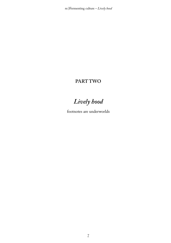re:)Fermenting culture - Lively hood

# **PARTTWO**

Lively hood

footnotes are underworlds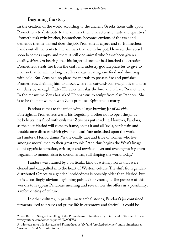#### **Beginning the story**

In the creation of the world according to the ancient Greeks, Zeus calls upon Prometheus to distribute to the animals their characteristic traits and qualities.<sup>2</sup> Prometheus's twin brother, Epimetheus, becomes envious of the task and demands that he instead does the job. Prometheus agrees and so Epimetheus hands out all the traits to the animals that are in his pot. However this vessel soon becomes empty and there is still one animal who hasn't been given a quality. *Man*. On hearing that his forgetful brother had botched the creation, Prometheus steals fire from the craft and industry god Hephaestus to give to man so that he will no longer suffer on earth eating raw food and shivering with cold. But Zeus had no plans for mortals to possess fire and punishes Prometheus, chaining him to a rock where his cut-and-come-again liver is torn out daily by an eagle. Later Heracles will slay the bird and release Prometheus. In the meantime Zeus has asked Hephaestus to sculpt from clay, Pandora. She is to be the first woman who Zeus proposes Epimetheus marry.

Pandora comes to the union with a large brewing jar of *all gifts*. Foresightful Prometheus warns his forgetting brother not to open the jar as he believes it is filled with evils that Zeus has put inside it. However, Pandora, as the poet Hesiod will come to frame, opens it and all "evils, harsh pain and troublesome diseases which give men death" are unleashed upon the world. In Pandora, Hesiod claims, "is the deadly race and tribe of women who live amongst mortal men to their great trouble." And thus begins the West's linage of misogynistic narration, writ large and rewritten over and over, regressing from paganism to monotheism to consumerism, still shaping the world today.3

Pandora was framed by a particular kind of writing, words that were cloned and catapulted into the heart of Western culture. The shift from genderdistributed Greece to a gender-lopsidedness is possibly older than Hesiod, but he is a startlingly obvious beginning point, 2700 years ago. The purpose of this work is to reappear Pandora's meaning and reveal how she offers us a possibility: a refermenting of culture.

In other cultures, in parallel matriarchal stories, Pandora's jar contained ferments used to praise and grieve life in ceremony and festival. It could be

<sup>2</sup> see Bernard Stiegler's retelling of the Prometheus-Epimetheus myth in the film *The Ister:* https:// www.youtube.com/watch?v=ymtnUDAOEWc

<sup>3</sup> Hesiod's terse ink also attacked Prometheus as "sly" and "crooked-schemer," and Epimetheus as "misguided" and "a disaster to men."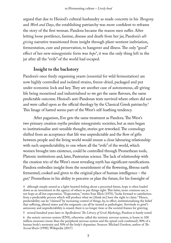argued that due to Hesiod's cultural husbandry as made concrete in his *Theogony* and *Work and Days*, the establishing patriarchy was more confident to reframe the story of the first woman. Pandora became the reason men suffer. After letting loose pestilence, famine, disease and death from her jar, Pandora's *allgiving* narrative transitioned from insight through plant-sentient inebriation, fermentation, cure and preservation, to hangover and illness. The only "good" effect of her new misogynistic form was *hope4* , it was the only thing left in the jar after all the "evils" of the world had escaped.

#### **Insight to the backstory**

Pandora's once freely organising yeasts (essential for wild fermentation) are now highly controlled and isolated strains, freeze-dried, packaged and put under economic lock and key. They are another case of autonomous, all-giving life being monetised and industrialised so we get the same flavours, the same predictable outcome. Hesiod's anti-Pandoran texts survived where others did not and were called upon as the official theology by the Classical Greek patriarchy.5 This linage of hatred seems part of the West's self-loathing tendency.

After paganism, Eve gets the same treatment as Pandora. The West's two primary creation myths predate misogynistic societies, but as men began to institutionalise anti-sensible thought, stories got reworked. The cosmology shifted from an acceptance that life was unpredictable and the flow of gifts between people and the living world would ensure a close labouring relationship with such unpredictability, to one where all the "evils" of the world, which women brought into existence, could be controlled through Promethean tools, Platonic institutions and, later, Pasteurian science. The lack of relationship with the creation trio of the West's most revealing myth has significant ramifications. Pandora embodies insight from the nourishment of the flowering, fibrous earth fermented, cooked and given to the original place of human intelligence – the *gut*; *6* Prometheus in his ability to perceive or plan the future, for his foresight of

4 although simply sensed as a light-hearted feeling about a perceived future, hope is often loaded down as an investment in the agency of others to put things right. This latter, more common use, is not hope at all but expectation. "Expectation," writes Ivan Illich (1970), "looks forward to satisfaction from a predictable process which will produce what we [think we] have the right to claim." Hence, predictability can be "claimed" by increasing control of things, by, in effect, institutionalising the belief that suffering, altered states and the enigmatic can all be treated as pathologies. Servitude to grief 's autonomy and unpredictability is erased; there is no longer time or the societal frames for grieving.

5 several hundred years later in Apollodorus' *The Library of Greek Mythology*, Pandora is barely noted.

6 the enteric nervous system (ENS), otherwise called the intrinsic nervous system, is home to 100 million neurones (more than the peripheral nervous system and the spinal cord combined), 90% of a human body's serotonin and 50% of the body's dopamine. Sources: Michael Gershon, author of *The Second Brain* (1998); Wikipedia (2017).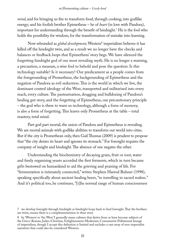*mind*, and for bringing us fire to transform food, through cooking, into godlike energy; and his foolish brother Epimetheus – he of *heart* (in love with Pandora), important for understanding through the benefit of hindsight.7 He is the fool who holds the possibility for wisdom, for the transformation of mistake into learning.

Now rebranded as *global development*, Western<sup>8</sup> imperialism believes it has killed off the hindsight twin, and as a result we no longer have the checks and balances or feedback loops that Epimetheus' story begs. We have silenced the forgetting hindsight god of our most revealing myth. He is no longer a warning, a precaution, a measure, a wise fool to behold and pose the question: Is this technology suitable? Is it necessary? Our predicament as a people comes from the foregrounding of Prometheus, the backgrounding of Epimetheus and the negation of Pandora as evil seductress. This is the world in which we live, the dominant control ideology of the West, transported and militarised into every reach, every culture. The pasteurisation, drugging and bulldozing of Pandora's healing gut story, and the forgetting of Epimetheus, our precautionary principle – the god who is there to warn us technology, although a form of memory, is also a form of forgetting. This leaves only Prometheus at the table – total mastery, total mind.

Part god part mortal, the union of Pandora and Epimetheus is revealing. We are mortal animals with godlike abilities to transform our world into cities. But if the city is Promethean only, then Gail Thomas (2009) is prudent to propose that "the city denies its heart and ignores its stomach." For foresight requires the company of insight and hindsight. The absence of one negates the other.

Understanding the biochemistry of decaying grain, fruit or root, water and freely organising yeasts accorded the first ferments, which in turn became gifts bestowed on humankind to aid the grieving and praising of life. For "fermentation is intimately connected," writes Stephen Harrod Buhner (1998), speaking specifically about ancient healing beers, "to travelling in sacred realms." And it's political too, he continues, "[t]he normal range of human consciousness

<sup>7</sup> we develop foresight through hindsight as hindsight loops back to feed foresight. That the brothers are twins, means there is a complementariness to their story.

<sup>8</sup> by 'Western' or 'the West' I generally mean cultures that derive from or have become subjects of the Greco-Roman, Judeo-Christian, Enlightenment-Modernist, Consumerist-Pollutionist lineage of imperialism, though I accept this definition is limited and excludes a vast array of non-imperialist narratives that could also be considered Western.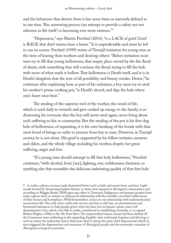and the behaviour that derives from it has never been so narrowly defined as in our time. This narrowing process (an attempt to provide a safety net not inherent in life itself) is becoming ever more extreme."<sup>9</sup>

"Depression," says Martín Prechtel (2014), "is a LACK of grief. Grief is RAGE that don't wanna have a home." It is unpredictable and must be left to run its course. Prechtel (1999) writes of Tzutujil initiation for young men at the time of leaving their mothers and desiring others: "Before initiation most men try to fill that young hollowness, that empty place carved by the fire flood of desire, with something that will continue the flood, trying to fill the hole with more of what made it hollow. That hollowness is Death itself, and it is in Death's kingdom that the root of all possibility and beauty resides. Desire," he continues after explaining how, as part of his initiation, a boy must try to steal his mother's prime cooking pot, "is Death's shovel, and digs the hole where one's heart once beat."

The stealing of the supreme tool of the mother, the vessel of life, which is used daily to nourish and give cooked up energy to the family, is so distressing for everyone that the boy will never steal again, never bring about such suffering to kin or community. But the stealing of the pot is his first dug hole of hollowness, of separating, it is his own breaking of the bonds with that most loved of beings in order to journey from boy to man. However, in Tzutujil society, he is not alone. His grief is supported by his fellow initiates, mentors and elders, and the whole village including his mother, despite her great suffering, anger and loss.

"If a young man should attempt to fill that holy hollowness," Prechtel continues, "with alcohol, food, [sex], fighting, war, ruthlessness, business, or anything else that resembles the delicious inebriating quality of that first hole

9 in earlier cultures, women made fermented brews such as kefir and mead, kvass and beer. Light meads brewed by fermenting banksia flowers in water were enjoyed in Aboriginal communities, and according to Maggie Brady (2008) gum sap ciders in Tasmania. Indigenous and peasant peoples from many regions were, or remain, in alchemical relationship with the invisible, microbial wildernesses of their homes and homeplaces. Wild fermentation carries on our relationship with undomesticated, autonomous life. The early cities could only survive, and this is still true, on entertainment and fermented substances to help people grieve what has been lost in human culture since civil domestication. Gin, which cost little to make, contributed to establishing Australia, or so argued Robert Hughes (1986) in his *The Fatal Shore*. The impoverished classes (many had been kicked off the Commons) were wallowing in the expanding English cities inebriated, hopeless and thieving to such an extent the authorities had to find more land to dump the petty-thief dispossessed, which in turn triggered the dispossession and massacres of Aboriginal people and the systematic ruination of Aboriginal ecological economies.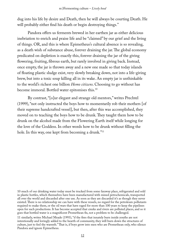dug into his life by desire and Death, then he will always be courting Death. He will probably either find his death or begin destroying things."

Pandora offers us ferments brewed in her earthen jar as either delicious inebriation to enrich and praise life and be "claimed" by our grief and the living of things. OR, and this is where Epimetheus's cultural absence is so revealing, as a death wish of substance abuse, forever draining the jar. The global economy predicated on depletion is exactly this, forever draining the jar of the giving flowering, fruiting, fibrous earth, but rarely involved in giving back. Instead, once empty, the jar is thrown away and a new one made so that today islands of floating plastic sludge exist, very slowly breaking down, not into a life-giving brew, but into a toxic soup killing all in its wake. An empty jar is unthinkable to the world's richest one billion *Homo citizens*. Choosing to go without has become immoral. Bottled water epitomises this.10

By contrast, "[o]ur elegant and strange old mentors," writes Prechtel (1999), "not only instructed the boys how to momentarily rob their mothers [of their supreme handcrafted vessel], but then, after this was accomplished, they moved on to teaching the boys how to be drunk. They taught them how to be drunk on the alcohol made from the Flowering Earth itself while longing for the love of the Goddess. In other words how to be drunk without filling the hole. In this way, one kept from becoming a drunk."11

10 much of our drinking water today must be trucked from some faraway place, refrigerated and sold in plastic bottles, which themselves have been manufactured with mined petrochemicals, transported all over the world and discarded after one use. As soon as they are discarded it's as though they never existed. There is no relationship we can have with these vessels, no regard for the petroleum pollutants required to make them, or the oil wars that have raged for more than 100 years to keep the pipelines open for such productions. It has become accepted that creeks and rivers are polluted places, and so it goes that bottled water is a magnificent Promethean fix, not a problem to be challenged.

11 similarly, writes Michael Meade (1993), "if the fires that innately burn inside youths are not intentionally and lovingly added to the hearth of community, they will burn down the structures of culture, just to feel the warmth." That is, if boys grow into men who are Promethean only, who silence Pandora and ignore Epimetheus.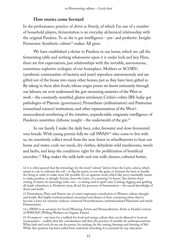#### **How stories come forward**

In the performance practice of *Artist as Family*, of which I'm one of a number of household players, fermentation is an everyday alchemical relationship with the original Pandora. To us she is gut intelligence – pre- and probiotic. Insight. Fermentor. Symbiotic culture<sup>12</sup> maker. All giver.

We have established a shrine to Pandora in our home, which we call the fermenting table and nothing whatsoever upon it is under lock and key. Here, there are few expectations, just relationships with the invisible, autonomous, sometimes explosive ecologies of our homeplace. Mothers or SCOBYs (symbiotic communities of bacteria and yeast) reproduce autonomously and are gifted out of the house into many other homes, just as they have been gifted in. By taking in these alive foods, whose origin points we know intimately through our labours, we now understand the gut-stemming anxieties of the West at work – the constantly unsettled, gluten-intolerant, Crohn's-colitis-IBS-leaky-gut pathologies of Platonic (governance), Promethean (militarisation) and Pasteurian (monetised science) institutions, and other representatives of the West's monocultural smothering of the intuitive, unpredictable, enigmatic intelligence of Pandora's unwritten chthonic insight – the underworld of the gut.<sup>13</sup>

In our family I make the daily beer, cider, firewater and slow-fermented sour breads. With young permie folk we call SWAPs<sup>14</sup> who come to live with us, we sensitively collect wood from the near forest in wheelbarrows to heat our home and water, cook our meals, dry clothes, dehydrate wild mushrooms, weeds and herbs, and keep the conditions right for the proliferation of beneficial microbes.15 Meg makes the milk kefir and raw milk cheeses, cultured butter,

12 it is often quoted that the etymology for the word "culture" derives from the Latin *cultura*, which means to cut, to cultivate the soil – to dig the poem, to sow the grain, to ferment the beer, to handle the living in order to make more life possible. It's an agrarian word, which like *poesis* essentially means to make, produce or plough. Science, from the Latin *scire*, meaning "to know," also derives from cutting. It shares its etymology with *scion* – a cutting used to graft onto. Cutting, digging and grafting all imply relatedness to Pandora's story, all aid the processes of fermentation – the sacred knowledge of decay and death.

13 Prometheus, Plato and Pasteur are of course important contributors to Western culture, thought and health. But highly institutionalised, monetised and absent of their countering twins they've become a force for systemic violence: maverick Prometheanism, institutionalised Platonism and sterile Pasteurianism.

14 a SWAP is an acronym for Social Warming Artists and Permaculturists, Artist as Family's version of WWOOF (Willing Workers on Organic Farms).

15 *Permapoesis* – my term for a walked-for food and energy culture that can be likened to locavore neopeasantry – enables first the consideration and then the practice of sensible de-anthropocentrism. What fuels and tools do we use for poesis, for making, for the cutting, brewing and forming of life? While this question has been exiled from industrial schooling, it is essential for any education.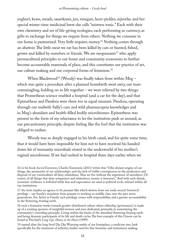yoghurt, kvass, meads, sauerkraut, jun, vinegars, lacto-pickles, rejuvelac and her special winter-time medicinal brew she calls "mistress tonic." Each with their own chemistry and set of life-giving ecologies; each performing as currency, as gifts to exchange for things we require from others. Nothing we consume in our home is pasteurised. Very little requires money.16 Nothing comes through an abattoir. The little meat we eat has been killed by cars or hunted, fished, grown and killed by ourselves or friends. We are neopeasants<sup>17</sup> who apply permacultural principles to our home and community economies to further become accountable mammals of place, and this constitutes our practice of art, our culture making and our corporeal forms of feminism.18

When Blackwood<sup>19</sup> (Woody) was finally taken from within Meg – which was quite a procedure after a planned homebirth went awry, our tears commingling, holding on to life together – we were relieved by two things: that Promethean science enabled a hospital (and a car for the day), and that Epimetheus and Pandora were there too in equal measure. Pandora, operating through our midwife Sally's care and wild pharmacopeia knowledges and in Meg's abundant and health-filled bodily microbiomes. Epimetheus was present in the form of my reluctance to let the institution push us around; as our precautionary principle, despite feeling like the fool that the institution was obliged to endure.

Woody was so deeply engaged in his birth canal, and for quite some time, that it would have been impossible for him not to have received his handed down kit of immunity microbials stored in the underworld of his mother's vaginal microbiome. If we had rushed to hospital three days earlier when we

<sup>16</sup> in his book *Sacred Economics*, Charles Eisenstein (2011) writes that "[t]he distant origins of our things, the anonymity of our relationships, and the lack of visible consequences in the production and disposal of our commodities all deny relatedness. Thus we live without the experience of sacredness. Of course, of all things that deny uniqueness and relatedness, money is foremost." And with such denial, economic resilience is forfeited while fear and expectation are used as political tools, infused within all our institutions.

<sup>17</sup> the term implies an agency to be peasant-like which derives from our (only recent) historical privilege – our family's transition from peasant to working to middle class over the past seven generations. For Artist as Family such privilege comes with responsibility, and a greater accountability to the flowering, fruiting earth.

<sup>18</sup> such a feminism works towards gender-distributed culture where eldership (governance) is made up of a rotating quorum of insightful women and men dedicated, primarily, to maintaining the community's overriding principle: Living within the limits of the abundant flowering fruiting earth and being dynamic participants of its life and death cycles.The best example of this I know can be found in Prechtel's *Long Life, Honey in the Heart* (1999).

<sup>19</sup> named after the long lived Dja Dja Wurrung wattle of our homeplace, a medicine tree, bark specifically for the treatment of arthritis; timber used for fine furniture and instrument making.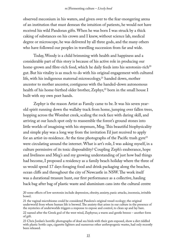observed meconium in his waters, and given over to the fear-mongering arena of an institution that must demean the intuition of patients, he would not have received his wild Pandoran gifts. When he was born I was struck by a thick caking of substances on his crown and I knew, without science lab, medical degree or microscope, he was delivered by all three gods, and the many others who have followed our peoples in travelling succession from far and wide.

Today, Woody is a child brimming with health and happiness and a considerable part of this story is because of his active role in producing our home-grown and fibre-rich food, which he daily feeds into his serotonin-rich<sup>20</sup> gut. But his vitality is as much to do with his original engagement with cultured life, with his indigenous maternal microecology, $^{21}$  handed down, mother ancestor to mother ancestor, contiguous with the handed-down autonomous health of his home-birthed older brother, Zephyr,<sup>22</sup> born in the small house I built with my own poet hands.

Zephyr is the reason Artist as Family came to be. It was his seven yearold spirit running down the wallaby track from home, jumping over fallen trees, hopping across the Wombat creek, scaling the rock face with daring skill, and arriving at our lunch spot only to reassemble the forest's ground stones into little worlds of imagining with his stepmum, Meg. This beautiful biophysicality and simple play was a long way from the invitation I'd just received to apply for an artist-in-residence. At the time photographs of the Pacific trash gyre $^{23}$ were circulating around the internet. What is art's role, I was asking myself, in a culture permissive of its toxic disposability? Coupling Zeph's exuberance, hope and liveliness and Meg's and my growing understanding of just how bad things had become, I proposed a residency as a family beach holiday where the three of us would spend 17 days foraging food and drink packaging along the beaches, ocean cliffs and throughout the city of Newcastle in NSW. The work itself was a durational treasure hunt, our first performance as a collective, hauling back bag after bag of plastic waste and aluminium cans into the cultural centre

20 some effects of low serotonin include depression, obesity, anxiety, panic attacks, insomnia, irritable bowel.

21 the vaginal microbiome could be considered Pandora's original vessel-ecology; the original underworld from where human life is brewed. The anxiety that arises in our culture in the presence of the mysteries of underworlds triggers a response to expose and control, to clean up and lay bare.

22 named after the Greek god of the west wind, Zephyrus; a warm and gentle breeze – another form of gift.

23 Chris Jordan's horrific photographs of dead sea birds with their guts exposed, show a diet riddled with plastic bottle caps, cigarette lighters and numerous other anthropogenic wastes, had only recently been released.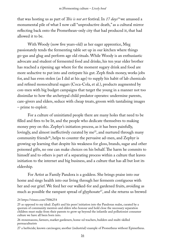that was hosting us as part of *This is not art* festival. In 17 days<sup>24</sup> we amassed a monumental pile of what I now call "unproductive death," as a cultural mirror reflecting back onto the Promethean-only city that had produced it, that had allowed it to be.

With Woody (now five years-old) as her eager apprentice, Meg passionately tends the fermenting table set up in our kitchen where things go-gas and glug and perform age old rituals. While Woody is an enthusiastic advocate and student of fermented food and drinks, his ten year older brother has reached a ripening age where for the moment sugary drink and food are more seductive to put into and extirpate his gut. Zeph finds money, works jobs for, and has even stolen (as I did at his age) to supply his habit of lab chemicals and refined monocultural sugars (Coca-Cola, et al.), products augmented by con-men with big budget campaigns that target the young in a manner not too dissimilar to how the archetypal child predator operates: undermine parents, care-givers and elders, seduce with cheap treats, groom with tantalising images – prime to exploit.

For a culture of uninitiated people there are many holes that need to be filled and fires to be lit, and the people who dedicate themselves to making money prey on this. Zephyr's initiation process, as it has been painfully, lovingly, and almost ineffectively curated by me<sup>25</sup>, and nurtured through many community friends<sup>26</sup>, helps to counter the pervasive ad-men, and Zephyr is growing up learning that despite his weakness for gloss, brands, sugar and other poisoned gifts, no one can make choices on his behalf. The harm he commits to himself and to others is part of a separating process within a culture that leaves initiation to the internet and big business, and a culture that has all but lost its eldership.

For Artist as Family Pandora is a goddess. She brings praise into our home and sings health into our living through her ferments contiguous with her and our grief. We feed her our walked-for and gardened fruits, avoiding as much as possible the rampant spread of glyphosate<sup>27</sup>, and she returns us brewed

<sup>24</sup> https://vimeo.com/7006254

<sup>25</sup> as opposed to my ideal: Zeph's and his peers' initiation into the Pandoran realm, curated by a quorum of community mentors and elders who honour and hold close the necessary separation children must make from their parents to grow up beyond the infantile and pollutionist consumer culture we have all been born into.

<sup>26</sup> stonemasons, farmers, market gardeners, home-ed teachers, builders and multi-skilled permaculturists

<sup>27</sup> a herbicide; known carcinogen; another (industrial) example of Prometheus without Epimetheus.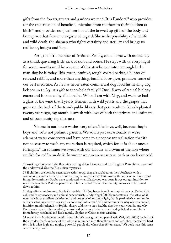gifts from the forests, streets and gardens we tend. It is Pandora<sup>28</sup> who provides for the transmission of beneficial microbes from mothers to their children at birth<sup>29</sup>, and provides not just beer but all the brewed up gifts of the body and homeplace that flow in unregistered regard. She is the possibility of wild life and wild death, the shaman who fights certainty and sterility and brings us resilience, insight and hope.

Zero, the fifth member of Artist as Family, came home with us one day as a timid, quivering little sack of skin and bones. He slept with us every night for seven months until he rose out of this attachment into the tough little man-dog he is today. This sweet, intuitive, rough-coated barker, a hunter of rats and rabbits, and more than anything, familial love-giver, produces some of our best medicine. As he has never eaten commercial dog food his healing dog lick serum (*whey*) is a gift to the whole family.30 Our lifeway of radical biology enters and is entered by all domains. When I am with Meg, and we have had a glass of the wine that I yearly ferment with wild yeasts and the grapes that grow on the back of the town's public library that permaculture friends planted twenty years ago, my mouth is awash with love of both the private and intimate, and of community togetherness.

No one in our house washes very often. The boys, well, because they're boys and we're not pedantic parents. We adults just occasionally as we're adamant water conservers and have come to a neopeasant realisation that it's not necessary to wash any more than is required, which for us is about once a fortnight.<sup>31</sup> In summer we sweat with our labours and swim at the lake where we fish for redfin on dusk. In winter we run an occasional bath or cook out cold

30 dog saliva contains antimicrobials capable of killing bacteria such as Staphylococcus, Escherichia coli, and Streptococcus, and animal behaviourist, Cindy Engel (2002), understands "the saliva of all mammals is an excellent disinfectant, and one type of antibody, IgA, that is particularly common in saliva is active against viruses such as polio and influenza." All this accounts for why my unschooled, intuitive grandmother, Eris Sophia, always told me to let a healthy dog lick your wounds, and why I've always regarded her wisdom, because a dog just wants to do it and a dog-licked wound feels immediately becalmed and heals rapidly. Sophia in Greek means wisdom.

31 our skins' microbiomes benefit from this. We have grown up past Alexis Wright's (2006) analysis of the intruder, that "everyone of the white skin jumped into their showers and scrubbed themselves hard for this is what high and mighty powerful people did when they felt unclean." We don't have this sense of shame anymore.

<sup>28</sup> working closely with the flowering earth goddess Demeter and her daughter Persephone, queen of the underworld. See the Eleusinian mysteries.

<sup>29</sup> if children are born by caesarean-section today they are swabbed on their foreheads with a coating of microbes from their mother's vaginal microbiome. This ensures the succession of microbial immunity continues. Swabs were conducted when Blackwood was born, it was our gut intuition to resist the hospital's Platonic panic that in turn enabled his kit of immunity microbes to be passed down to him.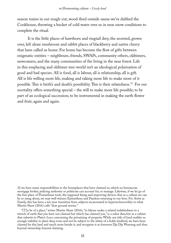season toxins in our rough-cut, wood-fired outside sauna we've dubbed the Cookhouse, throwing a bucket of cold water over us in near snow conditions to complete the ritual.

It is the little places of hawthorn and ringtail drey, the secreted, grown over, left alone mushroom and rabbit places of blackberry and native cherry that have called us home. For home has become the flow of gifts between enigmatic entities – neighbours, friends, SWAPs, community others, oldtimers, newcomers, and the many communities of the living in the near forest. Life in this emplacing and oldtimer tree-world isn't an ideological polarisation of good and bad species. All is food, all is labour, all is relationship, all is gift. All is life willing more life, making and taking more life to make more of it possible. This is birth's and death's possibility. This is their relatedness.32 For our mortality offers something special – the will to make more life possible; to be part of an ecological succession; to be instrumental in making the earth flower and fruit, again and again.

32 we have many responsibilities to the homeplaces that have claimed us, which no bureaucrat, mortgage broker, policing authority or politician can account for, or manage. Likewise, if we let go of the fore place of Promethean tools, the supposed fixing and improving devices that as a culture we can be so smug about, we may well witness Epimetheus and Pandora returning to our lives. For Artist as Family, this has been a ten-year transition from subjects incarcerated in hypertechnocivility to what Martin Shaw (2016) calls "slow ground stories."

"[T]o be of a place," writes Martin Shaw (2016), "to labour under a related indebtedness to a stretch of earth that you have not claimed but which has claimed you," is a sober directive in a culture that submits to Plato's *Laws* concerning the privatising of property. While our title of land enables us enough stability to plant deep roots and not be subject to the whim of a fickle landlord, we have been claimed by this land and much more beside it, and recognise it as foremost Dja Dja Wurrung and thus beyond ownership, beyond claiming.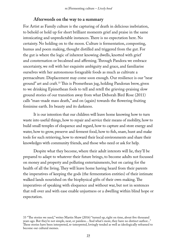#### **Afterwords on the way to a summary**

For Artist as Family culture is the capturing of death in delicious inebriation, to behold or hold up for short brilliant moments grief and praise in the same intoxicating and unpredictable instances. There is no expectation here. No certainty. No holding on to the moon. Culture is fermentation, composting, humus and poem making, thought distilled and triggered from the gut. For the gut is where the logic of inherent knowing dwells, knotted with grief and consternation or becalmed and affirming. Through Pandora we embrace uncertainty, we roll with her exquisite ambiguity and grace, and familiarise ourselves with her autonomous forageable foods as much as cultivate a permaculture. Displacement may come soon enough. Our resilience is our "near ground" art and craft.33 This is Promethean jug, holding Pandoran brew, given to we drinking Epimethean fools to tell and retell the grieving-praising slow ground stories of our transition away from what Deborah Bird Rose (2011) calls "man-made mass death," and on (again) towards the flowering fruiting feminine earth. Its beauty and its darkness.

It is our intention that our children will leave home knowing how to turn waste into useful things, how to repair and service their means of mobility, how to build small temples of eloquence and regard, how to capture and store energy and water, how to grow, preserve and ferment food, how to fish, snare, hunt and make tools for such retrieving, how to steward their local environments and share their knowledges with community friends, and those who need or ask for help.

Despite what they become, where their adult interests will lie, they'll be prepared to adapt to whatever their future brings, to become adults not focussed on money and property and polluting entertainments, but on caring for the health of all the living. They will leave home having heard from their parents the imperatives of keeping the gods (the fermentation entities) of their intimate walked lands nourished on the biophysical gifts of their own making. The imperatives of speaking with eloquence and without war, but not in sentences that roll over and with ease enable unjustness or a dwelling within blind hope or expectation.

<sup>33</sup> "The stories we need," writes Martin Shaw (2016) "turned up, right on time, about five thousand years ago. But they're not simple, neat, or painless... And what's more, they have no distinct author..." These stories have been interpreted, re-interpreted, lovingly tended as well as ideologically reframed to become our cultural memes.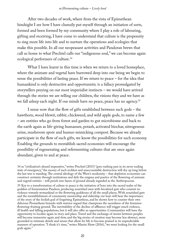After two decades of work, where from the vista of Epimethean hindsight I see how I have clumsily put myself through an initiation of sorts, formed and been formed by my community where I play a role of labouring, gifting and receiving, I have come to understand that culture is the propensity to sing more life into life and to nurture the operations and ecologies that make this possible. In all our neopeasant activities and Pandoran brews that call us home to what Prechtel calls our "indigenous soul," we can become again ecological performers of culture.34

What I have learnt in this time is when we return to a loved homeplace, where the animate and vegetal have burrowed deep into our being we begin to sense the possibilities of lasting peace. If we return to peace – for the idea that humankind is only destructive and opportunistic is a fallacy promulgated by storytellers preying on our most imperialist instincts – we would have arrived through the stories we are telling our children, the visions they and we have as we fall asleep each night. If our minds have no peace, peace has no agency.<sup>35</sup>

I sense now that the flow of gifts established between such gods – the hawthorn, wood blewit, rabbit, chickweed, and wild apple gods, to name a few – are entities who go from forest and garden to gut microbiome and back to the earth again as life-giving humanure, potash, activated biochar, nitrogenous urine, mushroom spore and humus-mimicking compost. Because we already participate in the flow of such gifts, we know the possibilities for such economy. Enabling the grounds to reestablish sacred economies will encourage the possibility of regenerating and refermenting cultures that are once again abundant, given to and at peace.

34 as "civilisation's absurd imperative," writes Prechtel (2015) "goes rushing past in its never ending state of emergency," the money of such reckless and unaccountable destruction will dry up long before the last tree is standing. The central ideology of the West's modernity – that depletion economies can construct certainty through institutions and defy the enigma and poetics of the flowering of animate and vegetal entities – will perish into layers of ground already regarded as the Anthropocene.

35 Key to a transformation of culture to peace is the initiation of boys into the sacred realm of the goddess of fermentation Pandora, producing nourished men with becalmed guts who commit no violence towards womankind or the flowering goddesses of all the small places. With nourished guts and the reestablishment of community mentorship and eldership our boys will hear the importance of the story of the foolish god of forgetting Epimetheus, and be shown how to counter their own delicious Promethean bravado with warrior-regard that champions the sacredness of the feminineflowering-fruiting ground. The inevitability of the decline of affluence will trigger much violence, ill health and falling populations, but it will also offer us opportunities. Communities will have the opportunity to localise again in story and place. Travel and the exchange of stories between peoples will become immersive again and slow, and the big stories of creation may become less abstract, more grounded in intimate details and senses that allow for life to become praised in its unpredictable manners of operation. "I think it's time," writes Martin Shaw (2016), "we went looking for the small gods again."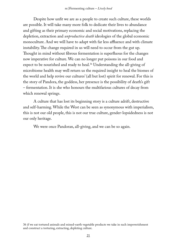Despite how unfit we are as a people to create such culture, these worlds are possible. It will take many more folk to dedicate their lives to abundance and gifting as their primary economic and social motivations, replacing the depletion, extraction and *unproductive death* ideologies of the global economic monoculture. And we will have to adapt with far less affluence and with climate instability. The change required in us will need to occur from the gut up. Thought in mind without fibrous fermentation is superfluous for the changes now imperative for culture. We can no longer put poisons in our food and expect to be nourished and ready to heal.<sup>36</sup> Understanding the all-giving of microbiome health may well return us the required insight to heal the biomes of the world and help revive our cultures' (all but lost) spirit for renewal. For this is the story of Pandora, the goddess, her presence is the possibility of death's gift – fermentation. It is she who honours the multifarious cultures of decay from which renewal springs.

A culture that has lost its beginning story is a culture adrift, destructive and self-harming. While the West can be seen as synonymous with imperialism, this is not our old people, this is not our true culture, gender-lopsidedness is not our only heritage.

We were once Pandoran, all-giving, and we can be so again.

36 if we eat tortured animals and mined-earth vegetable products we take in such impoverishment and construct a torturing, extracting, depleting culture.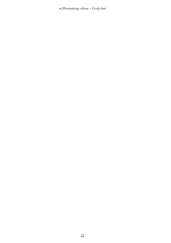re:)Fermenting culture  $-Lively$  hood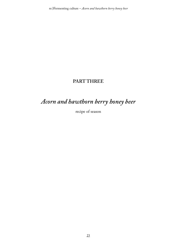re:)Fermenting culture  $-A$ corn and hawthorn berry honey beer

## **PART THREE**

# Acorn and hawthorn berry honey beer

recipe of season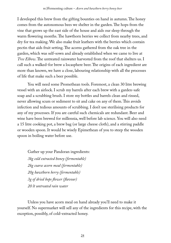I developed this brew from the gifting bounties on hand in autumn. The honey comes from the autonomous bees we shelter in the garden. The hops from the vine that grows up the east side of the house and aids our sleep through the warm flowering months. The hawthorn berries we collect from nearby trees, and dry for tea making. We also make fruit leathers with the berries which contain pectin that aids fruit setting. The acorns gathered from the oak tree in the garden, which was self-sown and already established when we came to live at *Tree Elbow*. The untreated rainwater harvested from the roof that shelters us. I call such a walked-for brew a locasphere beer. The origins of each ingredient are more than known, we have a close, labouring relationship with all the processes of life that make such a beer possible.

You will need some Promethean tools. Foremost, a clean 30 litre brewing vessel with an airlock. I scrub my barrels after each brew with a garden-safe soap and a scrubbing brush. I store my bottles and barrels clean and rinsed, never allowing scum or sediment to sit and cake on any of them. This avoids infection and tedious amounts of scrubbing. I don't use sterilising products for any of my processes. If you are careful such chemicals are redundant. Beer and wine have been brewed for millennia, well before lab science. You will also need a 15 litre cooking pot, a brew bag (or large cheese cloth), and a stirring paddle or wooden spoon. It would be wisely Epimethean of you to steep the wooden spoon in boiling water before use.

Gather up your Pandoran ingredients: *3kg cold extracted honey (fermentable) 2kg coarse acorn meal (fermentable) 20g hawthorn berry (fermentable) 3g of dried hops flower (flavour) 20 lt untreated rain water*

Unless you have acorn meal on hand already you'll need to make it yourself. No supermarket will sell any of the ingredients for this recipe, with the exception, possibly, of cold-extracted honey.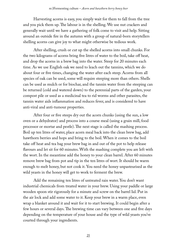Harvesting acorns is easy, you simply wait for them to fall from the tree and you pick them up. The labour is in the shelling. We use nut crackers and generally wait until we have a gathering of folk come to visit and help. Sitting around an outside fire in the autumn with a group of natural-born storytellers shelling acorns can give joy to what might otherwise be tedious work.

After shelling, crush or cut up the shelled acorns into small chunks. For the two kilograms of acorns bring five litres of water to the boil, take off heat, and drop the acorns in a brew bag into the water. Steep for 20 minutes each time. As we use English oak we need to leach out the tannins, which we do about four or five times, changing the water after each steep. Acorns from all species of oak can be used, some will require steeping more than others. Shells can be used as mulch or for biochar, and the tannin water from the steeping can be returned (cold and watered down) to the perennial parts of the garden, your compost pile or used as a medicinal tea to rid worms and other parasites, the tannin water aids inflammation and reduces fever, and is considered to have anti-viral and anti-tumour properties.

After four or five steeps dry out the acorn chunks (using the sun, a low oven or a dehydrator) and process into a course meal (using a grain mill, food processor or mortar and pestle). The next stage is called the mashing process. Boil up ten litres of water, place acorn meal back into the clean brew bag, add hawthorn berries and hops and bring to the boil. When it comes to the boil take off heat and tea bag your brew bag in and out of the pot to help release flavours and let sit for 60 minutes. With the mashing complete you are left with the wort. In the meantime add the honey to your clean barrel. After 60 minutes remove brew bag from pot and tip in the ten litres of wort. It should be warm enough to melt honey, but not cook it. You need the honey unpasteurised as the wild yeasts in the honey will get to work to ferment the brew.

Add the remaining ten litres of untreated rain water. You don't want industrial chemicals from treated water in your brew. Using your paddle or large wooden spoon stir rigorously for a minute and screw on the barrel lid. Put in the air lock and add some water to it. Keep your brew in a warm place, even wrap a blanket around it and wait for it to start brewing. It could begin after a few hours or several days. The brewing time can vary between one and five days depending on the temperature of your house and the type of wild yeasts you've courted through your ingredients.

25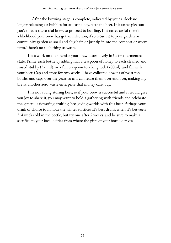After the brewing stage is complete, indicated by your airlock no longer releasing air bubbles for at least a day, taste the beer. If it tastes pleasant you've had a successful brew, so proceed to bottling. If it tastes awful there's a likelihood your brew has got an infection, if so return it to your garden or community garden as snail and slug bait, or just tip it into the compost or worm farm. There's no such thing as waste.

Let's work on the premise your brew tastes lovely in its first fermented state. Prime each bottle by adding half a teaspoon of honey to each cleaned and rinsed stubby (375ml), or a full teaspoon to a longneck (700ml), and fill with your beer. Cap and store for two weeks. I have collected dozens of twist top bottles and caps over the years so as I can reuse them over and over, making my brews another zero waste enterprise that money can't buy.

It is not a long storing beer, so if your brew is successful and it would give you joy to share it, you may want to hold a gathering with friends and celebrate the generous flowering, fruiting, bee-giving worlds with this beer. Perhaps your drink of choice to honour the winter solstice? It's best drunk when it's between 3-4 weeks old in the bottle, but try one after 2 weeks, and be sure to make a sacrifice to your local deities from where the gifts of your bottle derives.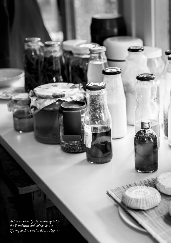*Artist as Family's fermenting table, the Pandoran hub of the house, Spring 2017. Photo: Mara Ripani*

-2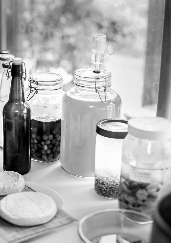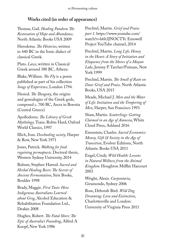# **Works cited (in order of appearance)**

Thomas, Gail. *Healing Pandora: The Restoration of Hope and Abundance,* North Atlantic Books USA 2009

Herodotus. *The Histories*, written in 440 BC in the Ionic dialect of classical Greek.

Plato. *Laws*, written in Classical Greek around 380 BC, Athens.

Blake, William. *The Fly* is a poem published as part of his collection *Songs of Experience*, London 1794.

Hesiod. *The Theogony*, the origins and genealogies of the Greek gods, composed c. 700 BC, Ascra in Boeotia (Central Greece)

Apollodorus. *The Library of Greek Mythology*. Trans. Robin Hard, Oxford World Classics, 1997

Illich, Ivan. *Deschooling society,* Harper & Row, New York 1971

Jones, Patrick. *Walking for food: regaining permapoesis*. Doctoral thesis, Western Sydney University, 2014

Buhner, Stephen Harrod. *Sacred and Herbal Healing Beers: The Secrets of Ancient Fermentation*, Siris Books, Boulder 1998

Brady, Maggie. *First Taste: How Indigenous Australians Learned about Grog*, Alcohol Education & Rehabilitation Foundation Ltd., Deakin 2008

Hughes, Robert. *The Fatal Shore: The Epic of Australia's Founding*, Alfred A Knopf, New York 1986

Prechtel, Martín. *Grief and Praise part 1*. https://www.youtube.com/ watch?v=h6h3JNOCTYc Emowell Project YouTube channel, 2014

Prechtel, Martín. *Long Life, Honey in the Heart: A Story of Initiation and Eloquence from the Shores of a Mayan Lake*, Jeremy P. Tarcher/Putnam, New York 1999

Prechtel, Martín. *The Smell of Rain on Dust: Grief and Praise*. North Atlantic Books, USA 2015

Meade, Michael J. *Men and the Water of Life: Initiation and the Tempering of Men*, Harper, San Francisco 1993

Shaw, Martin. *Scatterlings: Getting Claimed in an Age of Amnesia*, White Cloud Press, Ashland 2016

Eisenstein, Charles. *Sacred Economics: Money, Gift & Society in the Age of Transition*, Evolver Editions, North Atlantic Books USA 2011

Engel, Cindy. *Wild Health: Lessons in Natural Wellness from the Animal Kingdom*. Houghton Mifflin Harcourt 2003

Wright, Alexis. *Carpentaria*, Giramondo, Sydney 2006

Rose, Deborah Bird. *Wild Dog Dreaming: Love and Extinction*, Charlottesville and London: University of Virginia Press 2011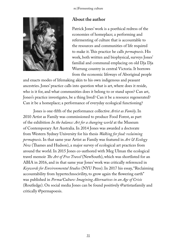

# **About the author**

Patrick Jones' work is a poethical redress of the economies of homeplace; a performing and refermenting of culture that is accountable to the resources and communities of life required to make it. This practice he calls *permapoesis*. His work, both written and biophysical, surveys Jones' familial and communal emplacing on old Dja Dja Wurrung country in central Victoria. It borrows from the economic lifeways of Aboriginal people

and enacts modes of lifemaking akin to his own indigenous and peasant ancestries. Jones' practice calls into question what is art, where does it reside, who is it for, and what communities does it belong to or stand upon? Can art, Jones's practice investigates, be a thing lived? Can it be a resource regenerated? Can it be a homeplace; a performance of everyday ecological functioning?

Jones is one-fifth of the performance collective *Artist as Family*. In 2010 Artist as Family was commissioned to produce Food Forest, as part of the exhibition *In the balance: Art for a changing world* at the Museum of Contemporary Art Australia. In 2014 Jones was awarded a doctorate from Western Sydney University for his thesis *Walking for food: reclaiming permapoesis*. In that same year Artist as Family was featured in *Art & Ecology Now* (Thames and Hudson), a major survey of ecological art practices from around the world. In 2015 Jones co-authored with Meg Ulman the ecological travel memoir *The Art of Free Travel* (NewSouth), which was shortlisted for an ABIA in 2016, and in that same year Jones' work was critically referenced in *Keywords for Environmental Studies* (NYU Press). In 2017 his essay, "Reclaiming accountability from hypertechnocivility, to grow again the flowering earth" was published in *Perma/Culture: Imagining Alternatives in an Age of Crisis* (Routledge). On social media Jones can be found positively @artistasfamily and critically @permapoesis.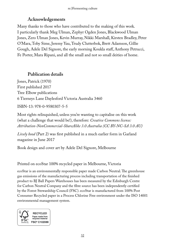# **Acknowledgements**

Many thanks to those who have contributed to the making of this work. I particularly thank Meg Ulman, Zephyr Ogden Jones, Blackwood Ulman Jones, Zero Ulman Jones, Kevin Murray, Nikki Marshall, Kirsten Bradley, Peter O'Mara, Toby Sime, Jeremy Yau, Trudy Clutterbok, Brett Adamson, Gillie Gough, Adele Del Signore, the early morning Koukla staff, Anthony Petrucci, Fe Porter, Mara Ripani, and all the small and not so small deities of home.

## **Publication details**

Jones, Patrick (1970) First published 2017 Tree Elbow publications 6 Tierneys Lane Daylesford Victoria Australia 3460

ISBN-13: 978-0-9580307-5-5

Most rights relinquished, unless you're wanting to capitalise on this work (what a challenge that would be!), therefore: *Creative Commons license: Attribution-NonCommercial-ShareAlike 3.0 Australia (CC BY-NC-SA 3.0 AU)*

*Lively hood* (Part 2) was first published in a much earlier form in Garland magazine in June 2017

Book design and cover art by Adele Del Signore, Melbourne

Printed on ecoStar 100% recycled paper in Melbourne, Victoria

ecoStar is an environmentally responsible paper made Carbon Neutral. The greenhouse gas emissions of the manufacturing process including transportation of the finished product to BJ Ball Papers Warehouses has been measured by the Edinburgh Centre for Carbon Neutral Company and the fibre source has been independently certified by the Forest Stewardship Council (FSC). ecoStar is manufactured from 100% Post Consumer Recycled paper in a Process Chlorine Free environment under the ISO 14001 environmental management system.

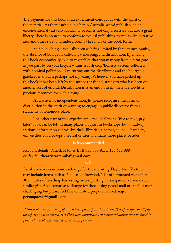The payment for this book is an experiment contiguous with the spirit of the material. As there isn't a publisher in Australia who'd publish such an unconventional text self-publishing becomes not only necessary but also a great liberty. There is no need to conform to typical publishing formulas like narrative arcs and other safe (and indeed boring) keepings of the book form.

Self-publishing is typically seen as being limited by three things: vanity, the absence of bourgeois cultural gatekeeping, and distribution. By making this book economically akin to vegetables that you may buy from a farm gate as you pass by on your bicycle – thus, a cash crop 'honesty' system collected with nominal pollution – I'm cutting out the distributor and the bourgeois gatekeeper, though perhaps not my vanity. Wherever you have picked up this book it has been left by the author (or friend, stranger) who has been on another sort of errand. Distribution isn't an end in itself, there are too little precious resources for such a thing.

As a writer of independent thought, please recognise this form of distribution in the spirit of wanting to engage in public discourse from a staunchly autonomous place.

The other part of this experiment is the ideal that a "free to take, pay later" book can be left in many places, not just in bookshops, but at railway stations, information centres, brothels, libraries, cinemas, council chambers, universities, food co-ops, medical centres and many more places besides.

#### **\$10 recommended**

Account details: Patrick R Jones BSB 633 000 ACC 125 611 988 or PayPal: **theartistasfamily@gmail.com**

#### OR

An **alternative economic exchange** for those visiting Daylesford, Victoria may include items such as 6 pieces of firewood, 1 jar of fermented vegetables, 30 minutes of weeding, harvesting or composting in our garden, or some such similar gift. An alternative exchange for those using postal mail or email is more challenging but please feel free to write a proposal of exchange: **permapoesis@gmail.com**

*If this book isn't your mug of acorn beer, please pass it on to another (perhaps they'll pay for it). It is not intended as a disposable commodity, however whatever the fate for this particular book, the sensible world will prevail.*